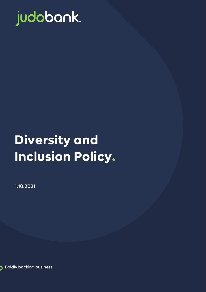

# **Diversity and Inclusion Policy.**

1.10.2021



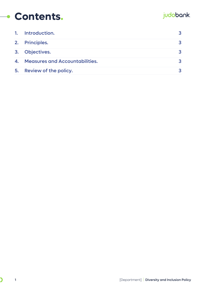#### judobank.

#### **Contents.**

| 1. | Introduction.                         |  |
|----|---------------------------------------|--|
|    | 2. Principles.                        |  |
| 3. | <b>Objectives.</b>                    |  |
| 4. | <b>Measures and Accountabilities.</b> |  |
| 5. | Review of the policy.                 |  |